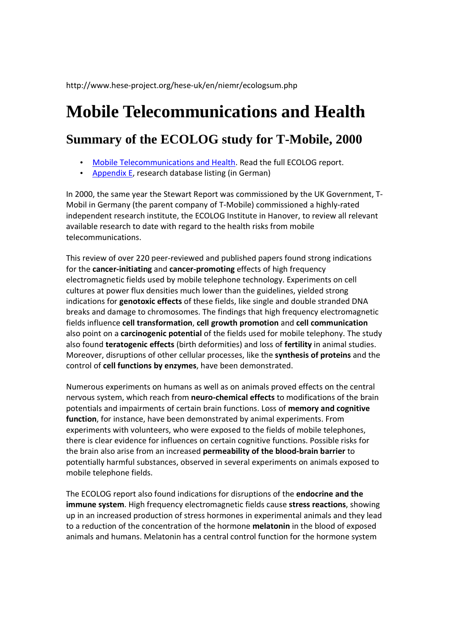## **Mobile Telecommunications and Health**

## **Summary of the ECOLOG study for T-Mobile, 2000**

- Mobile Telecommunications and Health. Read the full ECOLOG report.
- Appendix E, research database listing (in German)

In 2000, the same year the Stewart Report was commissioned by the UK Government, T-Mobil in Germany (the parent company of T-Mobile) commissioned a highly-rated independent research institute, the ECOLOG Institute in Hanover, to review all relevant available research to date with regard to the health risks from mobile telecommunications.

This review of over 220 peer-reviewed and published papers found strong indications for the **cancer-initiating** and **cancer-promoting** effects of high frequency electromagnetic fields used by mobile telephone technology. Experiments on cell cultures at power flux densities much lower than the guidelines, yielded strong indications for **genotoxic effects** of these fields, like single and double stranded DNA breaks and damage to chromosomes. The findings that high frequency electromagnetic fields influence **cell transformation**, **cell growth promotion** and **cell communication** also point on a **carcinogenic potential** of the fields used for mobile telephony. The study also found **teratogenic effects** (birth deformities) and loss of **fertility** in animal studies. Moreover, disruptions of other cellular processes, like the **synthesis of proteins** and the control of **cell functions by enzymes**, have been demonstrated.

Numerous experiments on humans as well as on animals proved effects on the central nervous system, which reach from **neuro-chemical effects** to modifications of the brain potentials and impairments of certain brain functions. Loss of **memory and cognitive function**, for instance, have been demonstrated by animal experiments. From experiments with volunteers, who were exposed to the fields of mobile telephones, there is clear evidence for influences on certain cognitive functions. Possible risks for the brain also arise from an increased **permeability of the blood-brain barrier** to potentially harmful substances, observed in several experiments on animals exposed to mobile telephone fields.

The ECOLOG report also found indications for disruptions of the **endocrine and the immune system**. High frequency electromagnetic fields cause **stress reactions**, showing up in an increased production of stress hormones in experimental animals and they lead to a reduction of the concentration of the hormone **melatonin** in the blood of exposed animals and humans. Melatonin has a central control function for the hormone system